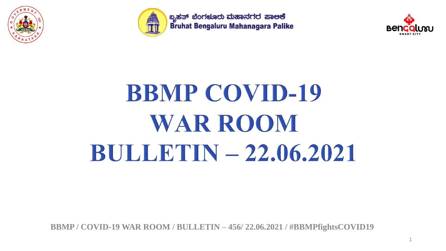



ಬೃಹತ್ ಬೆಂಗಳೂರು ಮಹಾನಗರ ಪಾಅಕೆ Bruhat Bengaluru Mahanagara Palike



# **BBMP COVID-19 WAR ROOM BULLETIN - 22.06.2021**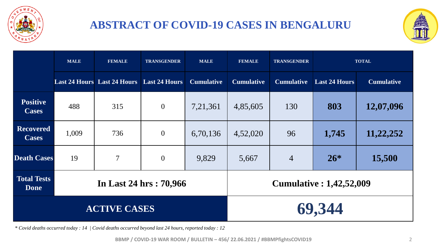

### **ABSTRACT OF COVID-19 CASES IN BENGALURU**



|                                   | <b>MALE</b> | <b>FEMALE</b>                                    | <b>TRANSGENDER</b>     | <b>MALE</b>       | <b>FEMALE</b>     | <b>TRANSGENDER</b> |                                 | <b>TOTAL</b>      |
|-----------------------------------|-------------|--------------------------------------------------|------------------------|-------------------|-------------------|--------------------|---------------------------------|-------------------|
|                                   |             | <b>Last 24 Hours</b> Last 24 Hours Last 24 Hours |                        | <b>Cumulative</b> | <b>Cumulative</b> | <b>Cumulative</b>  | <b>Last 24 Hours</b>            | <b>Cumulative</b> |
| <b>Positive</b><br><b>Cases</b>   | 488         | 315                                              | $\overline{0}$         | 7,21,361          | 4,85,605          | 130                | 803                             | 12,07,096         |
| <b>Recovered</b><br><b>Cases</b>  | 1,009       | 736                                              | $\overline{0}$         | 6,70,136          | 4,52,020          | 96                 | 1,745                           | 11,22,252         |
| <b>Death Cases</b>                | 19          | $\overline{7}$                                   | $\mathbf{0}$           | 9,829             | 5,667             | $\overline{4}$     | $26*$                           | 15,500            |
| <b>Total Tests</b><br><b>Done</b> |             |                                                  | In Last 24 hrs: 70,966 |                   |                   |                    | <b>Cumulative : 1,42,52,009</b> |                   |
|                                   |             | <b>ACTIVE CASES</b>                              |                        |                   |                   |                    | 69,344                          |                   |

*\* Covid deaths occurred today : 14 | Covid deaths occurred beyond last 24 hours, reported today : 12*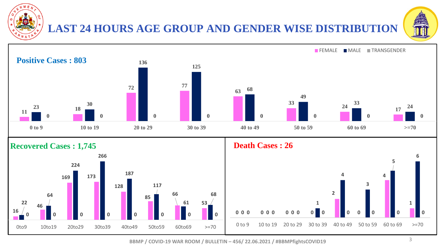

### **LAST 24 HOURS AGE GROUP AND GENDER WISE DISTRIBUTION**



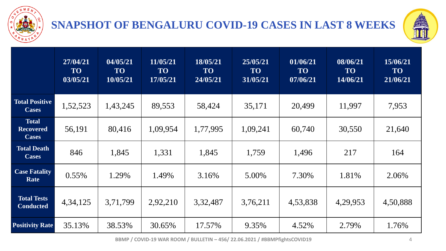

### **SNAPSHOT OF BENGALURU COVID-19 CASES IN LAST 8 WEEKS**



|                                                  | 27/04/21<br><b>TO</b><br>03/05/21 | 04/05/21<br><b>TO</b><br>10/05/21 | 11/05/21<br><b>TO</b><br>17/05/21 | 18/05/21<br><b>TO</b><br>24/05/21 | 25/05/21<br><b>TO</b><br>31/05/21 | 01/06/21<br><b>TO</b><br>07/06/21 | 08/06/21<br><b>TO</b><br>14/06/21 | 15/06/21<br><b>TO</b><br>21/06/21 |
|--------------------------------------------------|-----------------------------------|-----------------------------------|-----------------------------------|-----------------------------------|-----------------------------------|-----------------------------------|-----------------------------------|-----------------------------------|
| <b>Total Positive</b><br><b>Cases</b>            | 1,52,523                          | 1,43,245                          | 89,553                            | 58,424                            | 35,171                            | 20,499                            | 11,997                            | 7,953                             |
| <b>Total</b><br><b>Recovered</b><br><b>Cases</b> | 56,191                            | 80,416                            | 1,09,954                          | 1,77,995                          | 1,09,241                          | 60,740                            | 30,550                            | 21,640                            |
| <b>Total Death</b><br><b>Cases</b>               | 846                               | 1,845                             | 1,331                             | 1,845                             | 1,759                             | 1,496                             | 217                               | 164                               |
| <b>Case Fatality</b><br>Rate                     | $0.55\%$                          | 1.29%                             | 1.49%                             | 3.16%                             | 5.00%                             | 7.30%                             | 1.81%                             | 2.06%                             |
| <b>Total Tests</b><br><b>Conducted</b>           | 4, 34, 125                        | 3,71,799                          | 2,92,210                          | 3,32,487                          | 3,76,211                          | 4,53,838                          | 4,29,953                          | 4,50,888                          |
| <b>Positivity Rate</b>                           | 35.13%                            | 38.53%                            | 30.65%                            | 17.57%                            | 9.35%                             | 4.52%                             | 2.79%                             | 1.76%                             |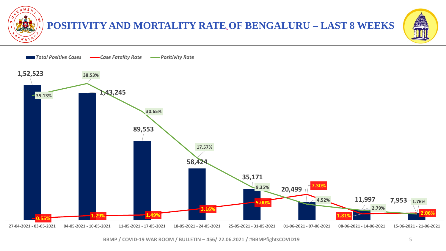

#### **` POSITIVITY AND MORTALITY RATE OF BENGALURU – LAST 8 WEEKS**



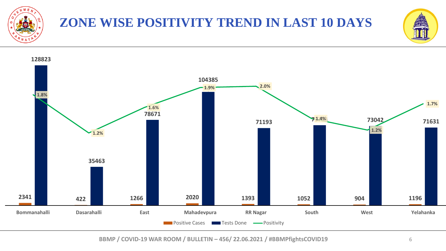

### **ZONE WISE POSITIVITY TREND IN LAST 10 DAYS**



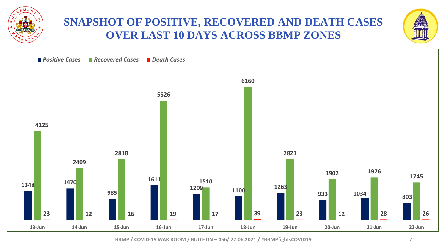

#### **SNAPSHOT OF POSITIVE, RECOVERED AND DEATH CASES OVER LAST 10 DAYS ACROSS BBMP ZONES**



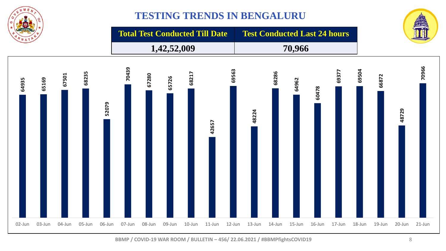

#### **TESTING TRENDS IN BENGALURU**

**Total Test Conducted Till Date Test Conducted Last 24 hours** 

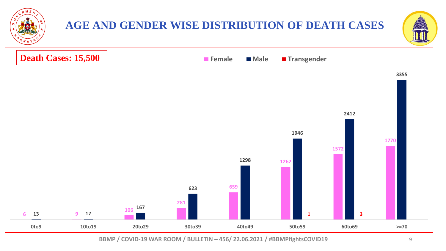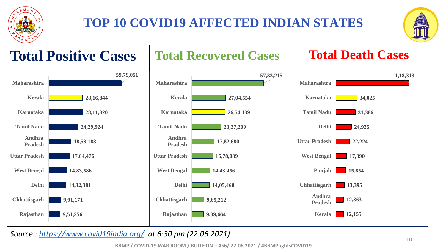

### **TOP 10 COVID19 AFFECTED INDIAN STATES**





*Source : <https://www.covid19india.org/> at 6:30 pm (22.06.2021)*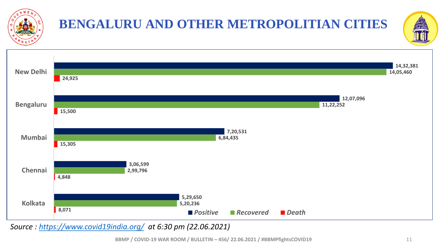

# **BENGALURU AND OTHER METROPOLITIAN CITIES**





*Source : <https://www.covid19india.org/> at 6:30 pm (22.06.2021)*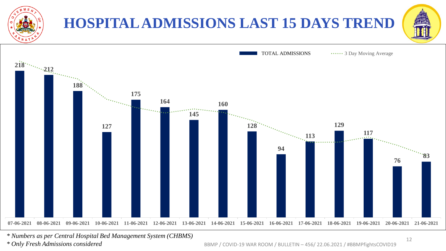

*\* Numbers as per Central Hospital Bed Management System (CHBMS) \* Only Fresh Admissions considered*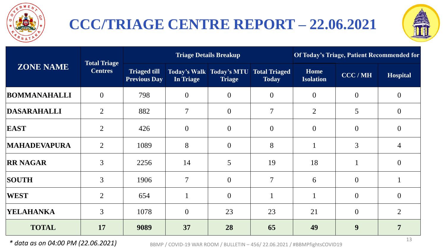

### **CCC/TRIAGE CENTRE REPORT – 22.06.2021**



|                     |                                       |                                            |                | <b>Triage Details Breakup</b>                      | Of Today's Triage, Patient Recommended for |                          |                |                 |
|---------------------|---------------------------------------|--------------------------------------------|----------------|----------------------------------------------------|--------------------------------------------|--------------------------|----------------|-----------------|
| <b>ZONE NAME</b>    | <b>Total Triage</b><br><b>Centres</b> | <b>Triaged till</b><br><b>Previous Day</b> | In Triage      | <b>Today's Walk   Today's MTU</b><br><b>Triage</b> | <b>Total Triaged</b><br><b>Today</b>       | Home<br><b>Isolation</b> | CCC / MH       | <b>Hospital</b> |
| <b>BOMMANAHALLI</b> | $\overline{0}$                        | 798                                        | $\theta$       | $\mathbf{0}$                                       | $\overline{0}$                             | $\overline{0}$           | $\overline{0}$ | $\theta$        |
| DASARAHALLI         | $\overline{2}$                        | 882                                        | $\overline{7}$ | $\boldsymbol{0}$                                   | 7                                          | $\overline{2}$           | 5              | $\overline{0}$  |
| EAST                | $\overline{2}$                        | 426                                        | $\mathbf{0}$   | $\theta$                                           | $\overline{0}$                             | $\overline{0}$           | $\overline{0}$ | $\theta$        |
| <b>MAHADEVAPURA</b> | $\overline{2}$                        | 1089                                       | 8              | $\overline{0}$                                     | 8                                          |                          | 3              | $\overline{4}$  |
| <b>RR NAGAR</b>     | 3                                     | 2256                                       | 14             | 5                                                  | 19                                         | 18                       |                | $\Omega$        |
| <b>SOUTH</b>        | $\overline{3}$                        | 1906                                       | $\overline{7}$ | $\boldsymbol{0}$                                   | $\tau$                                     | 6                        | $\overline{0}$ |                 |
| <b>WEST</b>         | $\overline{2}$                        | 654                                        | $\mathbf{1}$   | $\mathbf{0}$                                       |                                            | $\mathbf{1}$             | $\overline{0}$ | $\theta$        |
| YELAHANKA           | $\overline{3}$                        | 1078                                       | $\overline{0}$ | 23                                                 | 23                                         | 21                       | $\overline{0}$ | $\overline{2}$  |
| <b>TOTAL</b>        | 17                                    | 9089                                       | 37             | 28                                                 | 65                                         | 49                       | 9              | 7               |

*\* data as on 04:00 PM (22.06.2021)* BBMP / COVID-19 WAR ROOM / BULLETIN – 456/ 22.06.2021 / #BBMPfightsCOVID19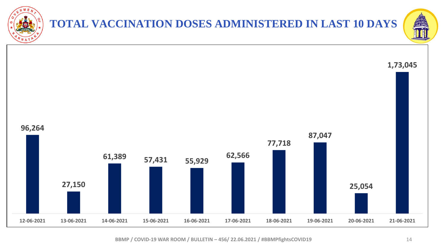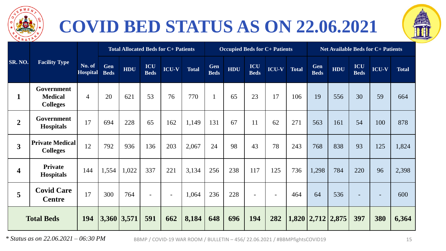

## **COVID BED STATUS AS ON 22.06.2021**



|                         |                                                 |                           |                           | <b>Total Allocated Beds for C+ Patients</b> |                          |                                            |              |                    |            |                          | <b>Occupied Beds for C+ Patients</b> |              | <b>Net Available Beds for C+ Patients</b> |                   |                    |                          |              |
|-------------------------|-------------------------------------------------|---------------------------|---------------------------|---------------------------------------------|--------------------------|--------------------------------------------|--------------|--------------------|------------|--------------------------|--------------------------------------|--------------|-------------------------------------------|-------------------|--------------------|--------------------------|--------------|
| SR. NO.                 | <b>Facility Type</b>                            | No. of<br><b>Hospital</b> | <b>Gen</b><br><b>Beds</b> | <b>HDU</b>                                  | ICU<br><b>Beds</b>       | $\overline{{\bf ICU}}\text{-}{\bf V}^\top$ | <b>Total</b> | Gen<br><b>Beds</b> | <b>HDU</b> | ICU<br><b>Beds</b>       | <b>ICU-V</b>                         | <b>Total</b> | Gen<br><b>Beds</b>                        | <b>HDU</b>        | ICU<br><b>Beds</b> | <b>ICU-V</b>             | <b>Total</b> |
| $\mathbf{1}$            | Government<br><b>Medical</b><br><b>Colleges</b> | $\overline{4}$            | 20                        | 621                                         | 53                       | 76                                         | 770          |                    | 65         | 23                       | 17                                   | 106          | 19                                        | 556               | 30                 | 59                       | 664          |
| $\overline{2}$          | Government<br><b>Hospitals</b>                  | 17                        | 694                       | 228                                         | 65                       | 162                                        | 1,149        | 131                | 67         | 11                       | 62                                   | 271          | 563                                       | 161               | 54                 | 100                      | 878          |
| $\overline{\mathbf{3}}$ | <b>Private Medical</b><br><b>Colleges</b>       | 12                        | 792                       | 936                                         | 136                      | 203                                        | 2,067        | 24                 | 98         | 43                       | 78                                   | 243          | 768                                       | 838               | 93                 | 125                      | 1,824        |
| $\overline{\mathbf{4}}$ | <b>Private</b><br><b>Hospitals</b>              | 144                       | 1,554                     | 1,022                                       | 337                      | 221                                        | 3,134        | 256                | 238        | 117                      | 125                                  | 736          | 1,298                                     | 784               | 220                | 96                       | 2,398        |
| 5                       | <b>Covid Care</b><br><b>Centre</b>              | 17                        | 300                       | 764                                         | $\overline{\phantom{a}}$ | $\sim$                                     | 1,064        | 236                | 228        | $\overline{\phantom{a}}$ | $\overline{\phantom{a}}$             | 464          | 64                                        | 536               |                    | $\overline{\phantom{a}}$ | 600          |
| <b>Total Beds</b>       |                                                 | 194                       |                           | $3,360$ 3,571                               | 591                      | 662                                        | 8,184        | 648                | 696        | 194                      | 282                                  |              |                                           | 1,820 2,712 2,875 | 397                | 380                      | 6,364        |

*\* Status as on 22.06.2021 – 06:30 PM* BBMP / COVID-19 WAR ROOM / BULLETIN – 456/ 22.06.2021 / #BBMPfightsCOVID19 15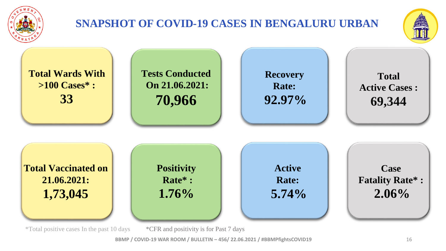

### **SNAPSHOT OF COVID-19 CASES IN BENGALURU URBAN**